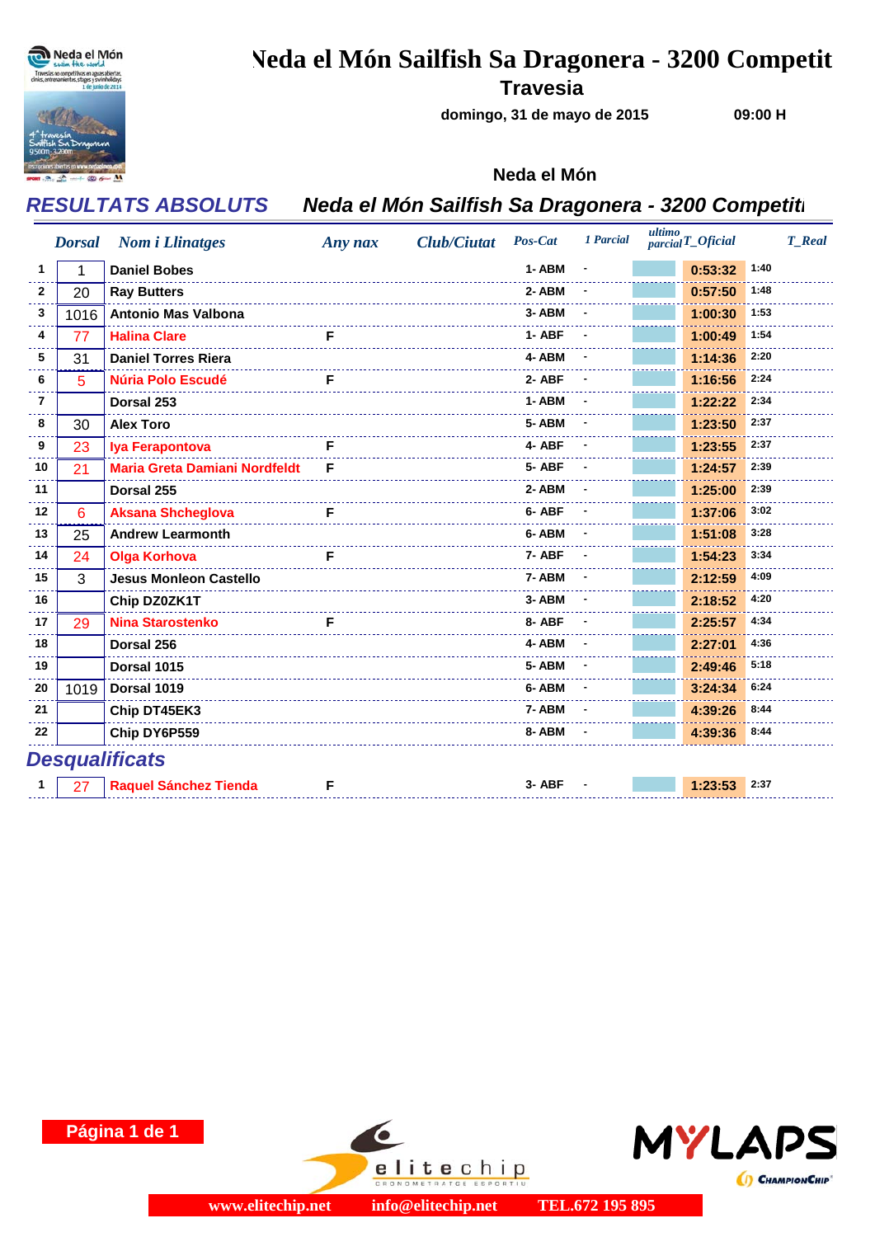

## **Neda el Món Sailfish Sa Dragonera - 3200 Competit**

**Travesia**

**domingo, 31 de mayo de 2015**

**09:00 H**

### **Neda el Món**

## *RESULTATS ABSOLUTS Neda el Món Sailfish Sa Dragonera - 3200 Competiti*

|                       | <b>Dorsal</b> | <b>Nom</b> <i>i</i> Llinatges        | Any nax | <b>Club/Ciutat</b> | Pos-Cat | 1 Parcial | ultimo<br>$parcial$ <i>T_Oficial</i> | <b>T</b> Real |  |  |  |
|-----------------------|---------------|--------------------------------------|---------|--------------------|---------|-----------|--------------------------------------|---------------|--|--|--|
| 1                     | 1             | <b>Daniel Bobes</b>                  |         |                    | 1-ABM   |           | 0:53:32                              | 1:40          |  |  |  |
| 2                     | 20            | <b>Ray Butters</b>                   |         |                    | 2-ABM   |           | 0:57:50                              | 1:48          |  |  |  |
| 3                     | 1016          | <b>Antonio Mas Valbona</b>           |         |                    | 3-ABM   |           | 1:00:30                              | 1:53          |  |  |  |
| 4                     | 77            | <b>Halina Clare</b>                  | F       |                    | 1-ABF   |           | 1:00:49                              | 1:54          |  |  |  |
| 5                     | 31            | <b>Daniel Torres Riera</b>           |         |                    | 4-ABM   |           | 1:14:36                              | 2:20          |  |  |  |
| 6                     | 5             | <b>Núria Polo Escudé</b>             | F       |                    | 2-ABF   |           | 1:16:56                              | 2:24          |  |  |  |
| 7                     |               | Dorsal 253                           |         |                    | 1-ABM   |           | 1:22:22                              | 2:34          |  |  |  |
| 8                     | 30            | <b>Alex Toro</b>                     |         |                    | 5-ABM   |           | 1:23:50                              | 2:37          |  |  |  |
| 9                     | 23            | Iya Ferapontova                      | F       |                    | 4- ABF  |           | 1:23:55                              | 2:37          |  |  |  |
| 10                    | 21            | <b>Maria Greta Damiani Nordfeldt</b> | F       |                    | 5-ABF   |           | 1:24:57                              | 2:39          |  |  |  |
| 11                    |               | Dorsal 255                           |         |                    | 2-ABM   |           | 1:25:00                              | 2:39          |  |  |  |
| 12                    | 6             | <b>Aksana Shcheglova</b>             | F       |                    | 6-ABF   |           | 1:37:06                              | 3:02          |  |  |  |
| 13                    | 25            | <b>Andrew Learmonth</b>              |         |                    | 6-ABM   |           | 1:51:08                              | 3:28          |  |  |  |
| 14                    | 24            | <b>Olga Korhova</b>                  | F       |                    | 7-ABF   |           | 1:54:23                              | 3:34          |  |  |  |
| 15                    | 3             | <b>Jesus Monleon Castello</b>        |         |                    | 7-ABM   |           | 2:12:59                              | 4:09          |  |  |  |
| 16                    |               | Chip DZ0ZK1T                         |         |                    | 3-ABM   |           | 2:18:52                              | 4:20          |  |  |  |
| 17                    | 29            | <b>Nina Starostenko</b>              | F       |                    | 8-ABF   |           | 2:25:57                              | 4:34          |  |  |  |
| 18                    |               | Dorsal 256                           |         |                    | 4-ABM   |           | 2:27:01                              | 4:36          |  |  |  |
| 19                    |               | Dorsal 1015                          |         |                    | 5-ABM   |           | 2:49:46                              | 5:18          |  |  |  |
| 20                    | 1019          | Dorsal 1019                          |         |                    | 6-ABM   |           | 3:24:34                              | 6:24          |  |  |  |
| 21                    |               | Chip DT45EK3                         |         |                    | 7-ABM   |           | 4:39:26                              | 8:44          |  |  |  |
| 22                    |               | Chip DY6P559                         |         |                    | 8-ABM   |           | 4:39:36                              | 8:44          |  |  |  |
| <b>Desqualificats</b> |               |                                      |         |                    |         |           |                                      |               |  |  |  |
|                       | 27            | <b>Raquel Sánchez Tienda</b>         | F       |                    | 3- ABF  |           | 1:23:53                              | 2:37          |  |  |  |





elitechip

ONOMETRATGE ESPO